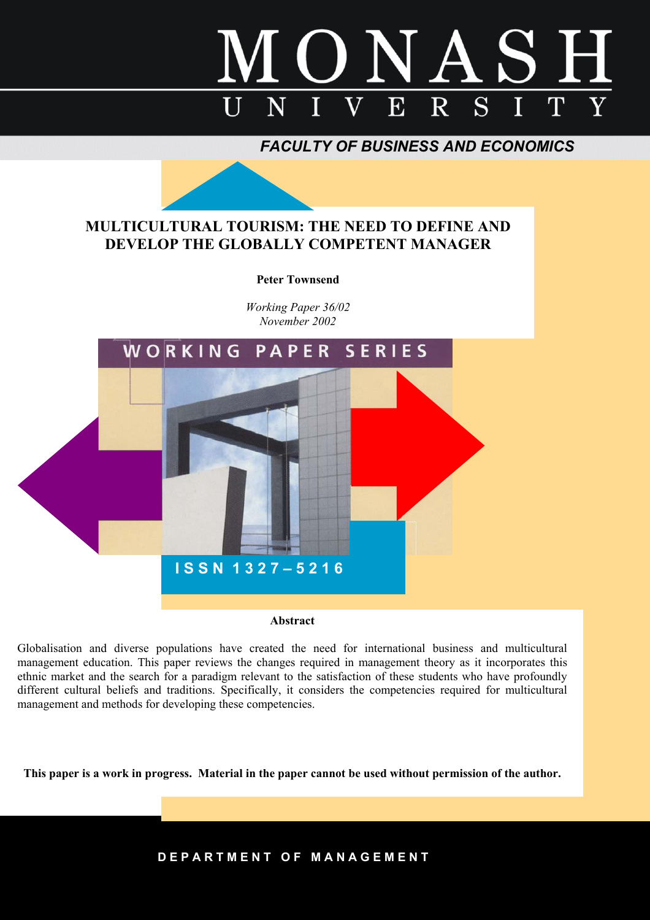

*FACULTY OF BUSINESS AND ECONOMICS*

# **MULTICULTURAL TOURISM: THE NEED TO DEFINE AND DEVELOP THE GLOBALLY COMPETENT MANAGER**

# **Peter Townsend**

*Working Paper 36/02 November 2002* 



**Abstract** 

Globalisation and diverse populations have created the need for international business and multicultural management education. This paper reviews the changes required in management theory as it incorporates this ethnic market and the search for a paradigm relevant to the satisfaction of these students who have profoundly different cultural beliefs and traditions. Specifically, it considers the competencies required for multicultural management and methods for developing these competencies.

**This paper is a work in progress. Material in the paper cannot be used without permission of the author.** 

**D E P A R T M E N T O F M A N A G E M E N T**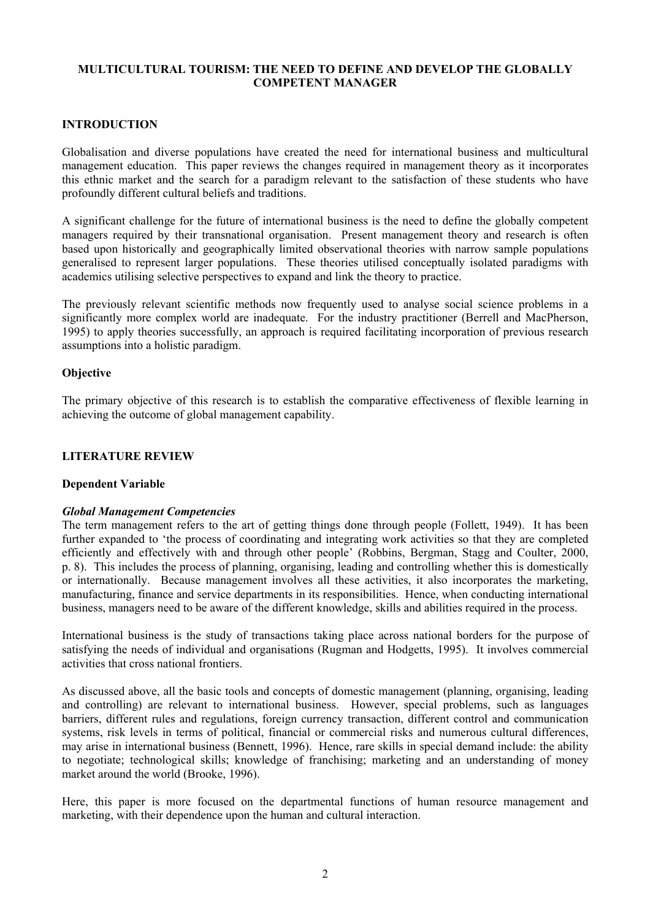# **MULTICULTURAL TOURISM: THE NEED TO DEFINE AND DEVELOP THE GLOBALLY COMPETENT MANAGER**

# **INTRODUCTION**

Globalisation and diverse populations have created the need for international business and multicultural management education. This paper reviews the changes required in management theory as it incorporates this ethnic market and the search for a paradigm relevant to the satisfaction of these students who have profoundly different cultural beliefs and traditions.

A significant challenge for the future of international business is the need to define the globally competent managers required by their transnational organisation. Present management theory and research is often based upon historically and geographically limited observational theories with narrow sample populations generalised to represent larger populations. These theories utilised conceptually isolated paradigms with academics utilising selective perspectives to expand and link the theory to practice.

The previously relevant scientific methods now frequently used to analyse social science problems in a significantly more complex world are inadequate. For the industry practitioner (Berrell and MacPherson, 1995) to apply theories successfully, an approach is required facilitating incorporation of previous research assumptions into a holistic paradigm.

#### **Objective**

The primary objective of this research is to establish the comparative effectiveness of flexible learning in achieving the outcome of global management capability.

#### **LITERATURE REVIEW**

#### **Dependent Variable**

#### *Global Management Competencies*

The term management refers to the art of getting things done through people (Follett, 1949). It has been further expanded to 'the process of coordinating and integrating work activities so that they are completed efficiently and effectively with and through other people' (Robbins, Bergman, Stagg and Coulter, 2000, p. 8). This includes the process of planning, organising, leading and controlling whether this is domestically or internationally. Because management involves all these activities, it also incorporates the marketing, manufacturing, finance and service departments in its responsibilities. Hence, when conducting international business, managers need to be aware of the different knowledge, skills and abilities required in the process.

International business is the study of transactions taking place across national borders for the purpose of satisfying the needs of individual and organisations (Rugman and Hodgetts, 1995). It involves commercial activities that cross national frontiers.

As discussed above, all the basic tools and concepts of domestic management (planning, organising, leading and controlling) are relevant to international business. However, special problems, such as languages barriers, different rules and regulations, foreign currency transaction, different control and communication systems, risk levels in terms of political, financial or commercial risks and numerous cultural differences, may arise in international business (Bennett, 1996). Hence, rare skills in special demand include: the ability to negotiate; technological skills; knowledge of franchising; marketing and an understanding of money market around the world (Brooke, 1996).

Here, this paper is more focused on the departmental functions of human resource management and marketing, with their dependence upon the human and cultural interaction.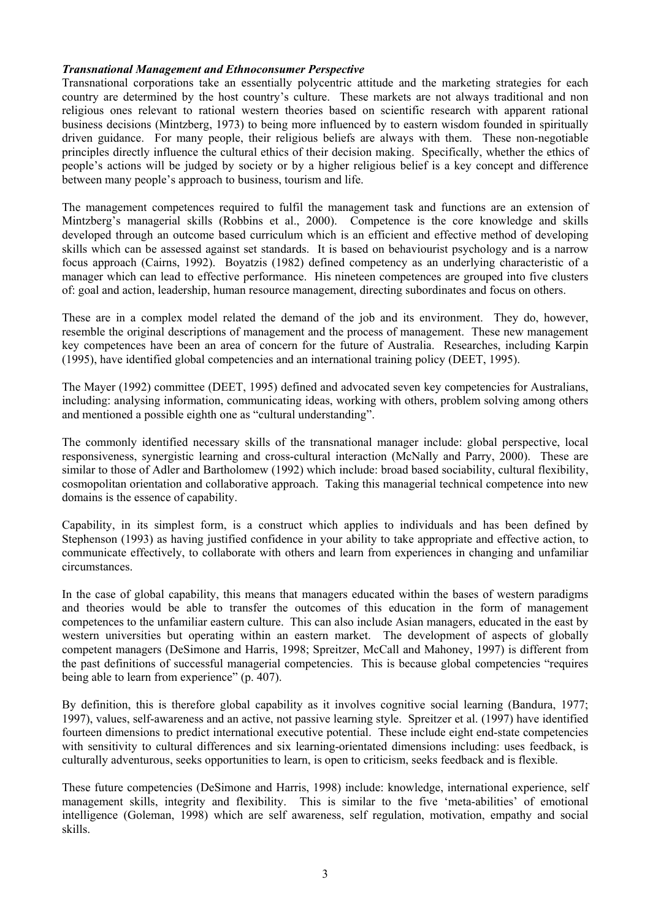### *Transnational Management and Ethnoconsumer Perspective*

Transnational corporations take an essentially polycentric attitude and the marketing strategies for each country are determined by the host country's culture. These markets are not always traditional and non religious ones relevant to rational western theories based on scientific research with apparent rational business decisions (Mintzberg, 1973) to being more influenced by to eastern wisdom founded in spiritually driven guidance. For many people, their religious beliefs are always with them. These non-negotiable principles directly influence the cultural ethics of their decision making. Specifically, whether the ethics of people's actions will be judged by society or by a higher religious belief is a key concept and difference between many people's approach to business, tourism and life.

The management competences required to fulfil the management task and functions are an extension of Mintzberg's managerial skills (Robbins et al., 2000). Competence is the core knowledge and skills developed through an outcome based curriculum which is an efficient and effective method of developing skills which can be assessed against set standards. It is based on behaviourist psychology and is a narrow focus approach (Cairns, 1992). Boyatzis (1982) defined competency as an underlying characteristic of a manager which can lead to effective performance. His nineteen competences are grouped into five clusters of: goal and action, leadership, human resource management, directing subordinates and focus on others.

These are in a complex model related the demand of the job and its environment. They do, however, resemble the original descriptions of management and the process of management. These new management key competences have been an area of concern for the future of Australia. Researches, including Karpin (1995), have identified global competencies and an international training policy (DEET, 1995).

The Mayer (1992) committee (DEET, 1995) defined and advocated seven key competencies for Australians, including: analysing information, communicating ideas, working with others, problem solving among others and mentioned a possible eighth one as "cultural understanding".

The commonly identified necessary skills of the transnational manager include: global perspective, local responsiveness, synergistic learning and cross-cultural interaction (McNally and Parry, 2000). These are similar to those of Adler and Bartholomew (1992) which include: broad based sociability, cultural flexibility, cosmopolitan orientation and collaborative approach. Taking this managerial technical competence into new domains is the essence of capability.

Capability, in its simplest form, is a construct which applies to individuals and has been defined by Stephenson (1993) as having justified confidence in your ability to take appropriate and effective action, to communicate effectively, to collaborate with others and learn from experiences in changing and unfamiliar circumstances.

In the case of global capability, this means that managers educated within the bases of western paradigms and theories would be able to transfer the outcomes of this education in the form of management competences to the unfamiliar eastern culture. This can also include Asian managers, educated in the east by western universities but operating within an eastern market. The development of aspects of globally competent managers (DeSimone and Harris, 1998; Spreitzer, McCall and Mahoney, 1997) is different from the past definitions of successful managerial competencies. This is because global competencies "requires being able to learn from experience" (p. 407).

By definition, this is therefore global capability as it involves cognitive social learning (Bandura, 1977; 1997), values, self-awareness and an active, not passive learning style. Spreitzer et al. (1997) have identified fourteen dimensions to predict international executive potential. These include eight end-state competencies with sensitivity to cultural differences and six learning-orientated dimensions including: uses feedback, is culturally adventurous, seeks opportunities to learn, is open to criticism, seeks feedback and is flexible.

These future competencies (DeSimone and Harris, 1998) include: knowledge, international experience, self management skills, integrity and flexibility. This is similar to the five 'meta-abilities' of emotional intelligence (Goleman, 1998) which are self awareness, self regulation, motivation, empathy and social skills.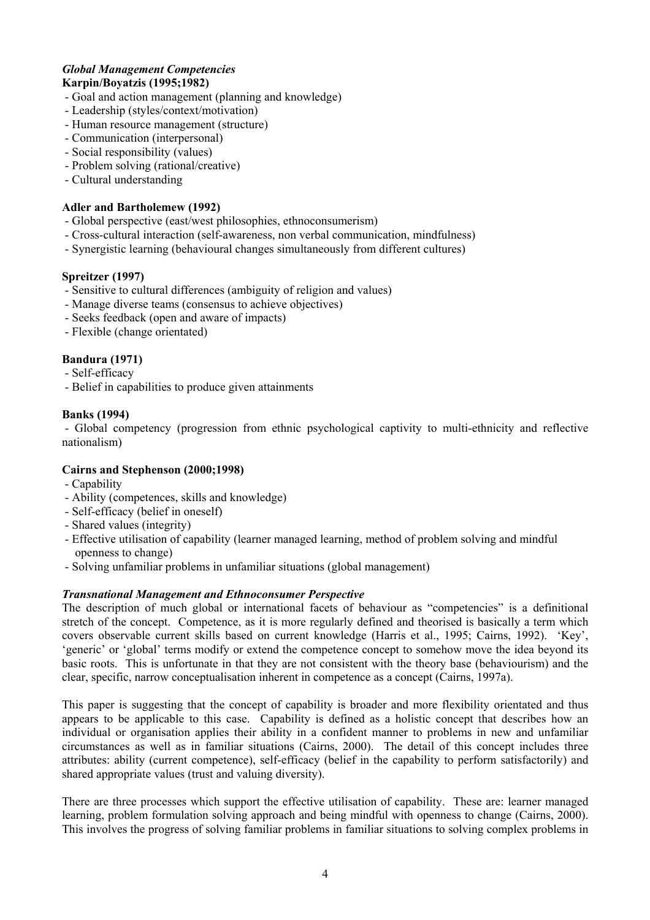#### *Global Management Competencies*  **Karpin/Boyatzis (1995;1982)**

- Goal and action management (planning and knowledge)
- Leadership (styles/context/motivation)
- Human resource management (structure)
- Communication (interpersonal)
- Social responsibility (values)
- Problem solving (rational/creative)
- Cultural understanding

# **Adler and Bartholemew (1992)**

- Global perspective (east/west philosophies, ethnoconsumerism)
- Cross-cultural interaction (self-awareness, non verbal communication, mindfulness)
- Synergistic learning (behavioural changes simultaneously from different cultures)

# **Spreitzer (1997)**

- Sensitive to cultural differences (ambiguity of religion and values)
- Manage diverse teams (consensus to achieve objectives)
- Seeks feedback (open and aware of impacts)
- Flexible (change orientated)

# **Bandura (1971)**

- Self-efficacy
- Belief in capabilities to produce given attainments

# **Banks (1994)**

- Global competency (progression from ethnic psychological captivity to multi-ethnicity and reflective nationalism)

# **Cairns and Stephenson (2000;1998)**

- Capability
- Ability (competences, skills and knowledge)
- Self-efficacy (belief in oneself)
- Shared values (integrity)
- Effective utilisation of capability (learner managed learning, method of problem solving and mindful openness to change)
- Solving unfamiliar problems in unfamiliar situations (global management)

# *Transnational Management and Ethnoconsumer Perspective*

The description of much global or international facets of behaviour as "competencies" is a definitional stretch of the concept. Competence, as it is more regularly defined and theorised is basically a term which covers observable current skills based on current knowledge (Harris et al., 1995; Cairns, 1992). 'Key', 'generic' or 'global' terms modify or extend the competence concept to somehow move the idea beyond its basic roots. This is unfortunate in that they are not consistent with the theory base (behaviourism) and the clear, specific, narrow conceptualisation inherent in competence as a concept (Cairns, 1997a).

This paper is suggesting that the concept of capability is broader and more flexibility orientated and thus appears to be applicable to this case. Capability is defined as a holistic concept that describes how an individual or organisation applies their ability in a confident manner to problems in new and unfamiliar circumstances as well as in familiar situations (Cairns, 2000). The detail of this concept includes three attributes: ability (current competence), self-efficacy (belief in the capability to perform satisfactorily) and shared appropriate values (trust and valuing diversity).

There are three processes which support the effective utilisation of capability. These are: learner managed learning, problem formulation solving approach and being mindful with openness to change (Cairns, 2000). This involves the progress of solving familiar problems in familiar situations to solving complex problems in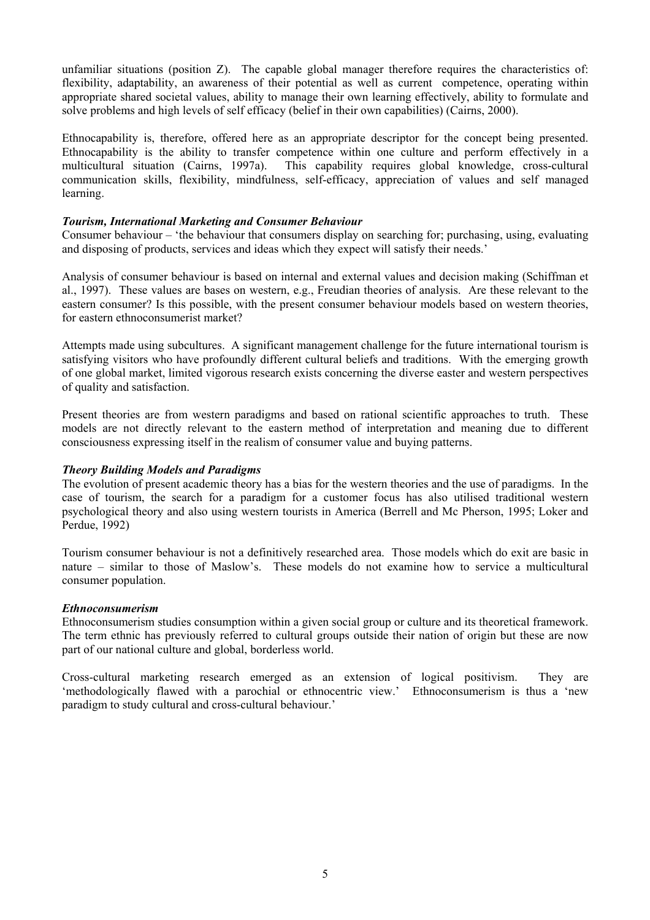unfamiliar situations (position Z). The capable global manager therefore requires the characteristics of: flexibility, adaptability, an awareness of their potential as well as current competence, operating within appropriate shared societal values, ability to manage their own learning effectively, ability to formulate and solve problems and high levels of self efficacy (belief in their own capabilities) (Cairns, 2000).

Ethnocapability is, therefore, offered here as an appropriate descriptor for the concept being presented. Ethnocapability is the ability to transfer competence within one culture and perform effectively in a multicultural situation (Cairns, 1997a). This capability requires global knowledge, cross-cultural This capability requires global knowledge, cross-cultural communication skills, flexibility, mindfulness, self-efficacy, appreciation of values and self managed learning.

### *Tourism, International Marketing and Consumer Behaviour*

Consumer behaviour – 'the behaviour that consumers display on searching for; purchasing, using, evaluating and disposing of products, services and ideas which they expect will satisfy their needs.'

Analysis of consumer behaviour is based on internal and external values and decision making (Schiffman et al., 1997). These values are bases on western, e.g., Freudian theories of analysis. Are these relevant to the eastern consumer? Is this possible, with the present consumer behaviour models based on western theories, for eastern ethnoconsumerist market?

Attempts made using subcultures. A significant management challenge for the future international tourism is satisfying visitors who have profoundly different cultural beliefs and traditions. With the emerging growth of one global market, limited vigorous research exists concerning the diverse easter and western perspectives of quality and satisfaction.

Present theories are from western paradigms and based on rational scientific approaches to truth. These models are not directly relevant to the eastern method of interpretation and meaning due to different consciousness expressing itself in the realism of consumer value and buying patterns.

#### *Theory Building Models and Paradigms*

The evolution of present academic theory has a bias for the western theories and the use of paradigms. In the case of tourism, the search for a paradigm for a customer focus has also utilised traditional western psychological theory and also using western tourists in America (Berrell and Mc Pherson, 1995; Loker and Perdue, 1992)

Tourism consumer behaviour is not a definitively researched area. Those models which do exit are basic in nature – similar to those of Maslow's. These models do not examine how to service a multicultural consumer population.

#### *Ethnoconsumerism*

Ethnoconsumerism studies consumption within a given social group or culture and its theoretical framework. The term ethnic has previously referred to cultural groups outside their nation of origin but these are now part of our national culture and global, borderless world.

Cross-cultural marketing research emerged as an extension of logical positivism. They are 'methodologically flawed with a parochial or ethnocentric view.' Ethnoconsumerism is thus a 'new paradigm to study cultural and cross-cultural behaviour.'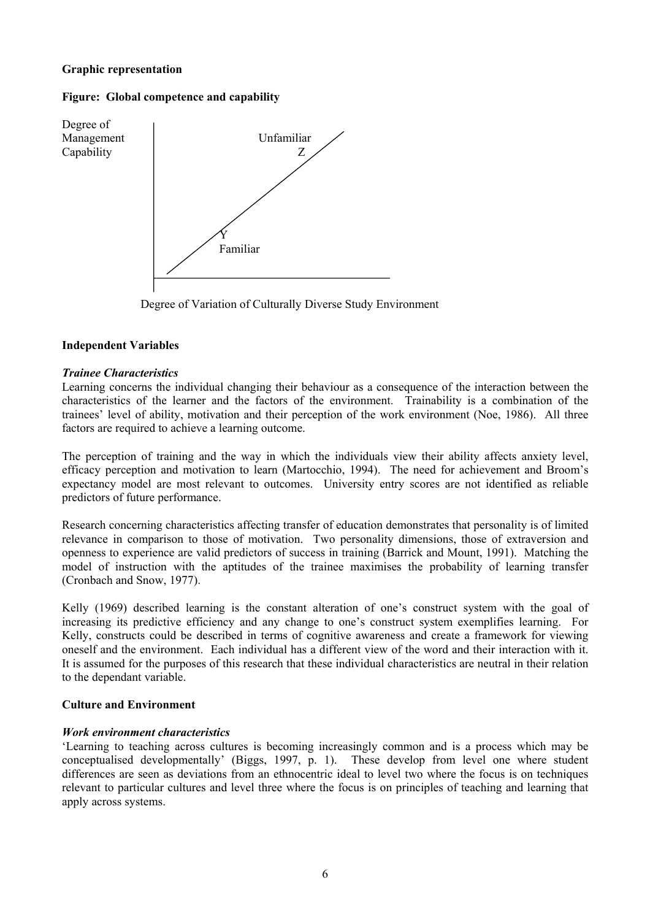# **Graphic representation**

### **Figure: Global competence and capability**



Degree of Variation of Culturally Diverse Study Environment

# **Independent Variables**

# *Trainee Characteristics*

Learning concerns the individual changing their behaviour as a consequence of the interaction between the characteristics of the learner and the factors of the environment. Trainability is a combination of the trainees' level of ability, motivation and their perception of the work environment (Noe, 1986). All three factors are required to achieve a learning outcome.

The perception of training and the way in which the individuals view their ability affects anxiety level, efficacy perception and motivation to learn (Martocchio, 1994). The need for achievement and Broom's expectancy model are most relevant to outcomes. University entry scores are not identified as reliable predictors of future performance.

Research concerning characteristics affecting transfer of education demonstrates that personality is of limited relevance in comparison to those of motivation. Two personality dimensions, those of extraversion and openness to experience are valid predictors of success in training (Barrick and Mount, 1991). Matching the model of instruction with the aptitudes of the trainee maximises the probability of learning transfer (Cronbach and Snow, 1977).

Kelly (1969) described learning is the constant alteration of one's construct system with the goal of increasing its predictive efficiency and any change to one's construct system exemplifies learning. For Kelly, constructs could be described in terms of cognitive awareness and create a framework for viewing oneself and the environment. Each individual has a different view of the word and their interaction with it. It is assumed for the purposes of this research that these individual characteristics are neutral in their relation to the dependant variable.

#### **Culture and Environment**

#### *Work environment characteristics*

'Learning to teaching across cultures is becoming increasingly common and is a process which may be conceptualised developmentally' (Biggs, 1997, p. 1). These develop from level one where student differences are seen as deviations from an ethnocentric ideal to level two where the focus is on techniques relevant to particular cultures and level three where the focus is on principles of teaching and learning that apply across systems.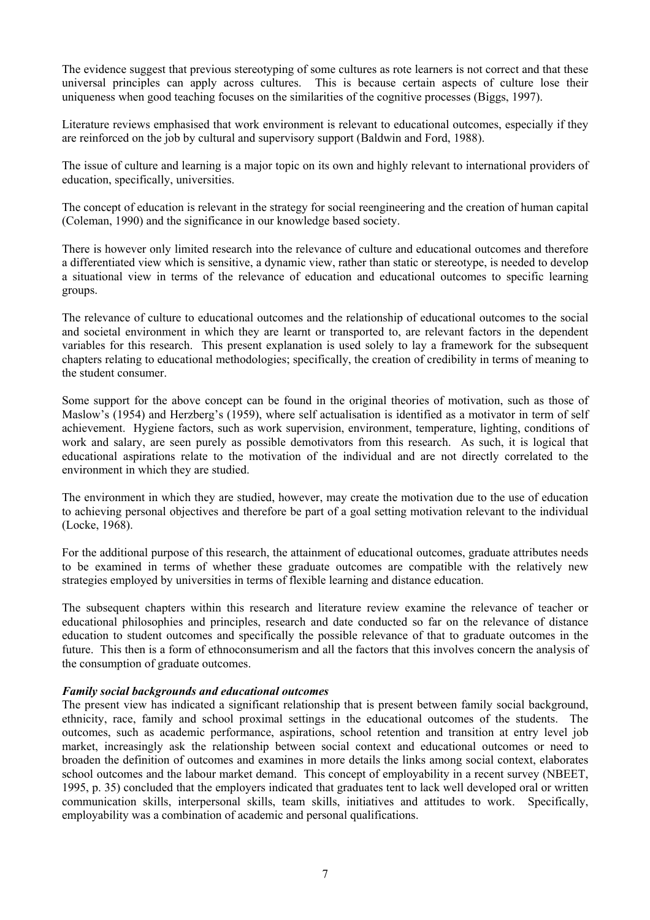The evidence suggest that previous stereotyping of some cultures as rote learners is not correct and that these universal principles can apply across cultures. This is because certain aspects of culture lose their uniqueness when good teaching focuses on the similarities of the cognitive processes (Biggs, 1997).

Literature reviews emphasised that work environment is relevant to educational outcomes, especially if they are reinforced on the job by cultural and supervisory support (Baldwin and Ford, 1988).

The issue of culture and learning is a major topic on its own and highly relevant to international providers of education, specifically, universities.

The concept of education is relevant in the strategy for social reengineering and the creation of human capital (Coleman, 1990) and the significance in our knowledge based society.

There is however only limited research into the relevance of culture and educational outcomes and therefore a differentiated view which is sensitive, a dynamic view, rather than static or stereotype, is needed to develop a situational view in terms of the relevance of education and educational outcomes to specific learning groups.

The relevance of culture to educational outcomes and the relationship of educational outcomes to the social and societal environment in which they are learnt or transported to, are relevant factors in the dependent variables for this research. This present explanation is used solely to lay a framework for the subsequent chapters relating to educational methodologies; specifically, the creation of credibility in terms of meaning to the student consumer.

Some support for the above concept can be found in the original theories of motivation, such as those of Maslow's (1954) and Herzberg's (1959), where self actualisation is identified as a motivator in term of self achievement. Hygiene factors, such as work supervision, environment, temperature, lighting, conditions of work and salary, are seen purely as possible demotivators from this research. As such, it is logical that educational aspirations relate to the motivation of the individual and are not directly correlated to the environment in which they are studied.

The environment in which they are studied, however, may create the motivation due to the use of education to achieving personal objectives and therefore be part of a goal setting motivation relevant to the individual (Locke, 1968).

For the additional purpose of this research, the attainment of educational outcomes, graduate attributes needs to be examined in terms of whether these graduate outcomes are compatible with the relatively new strategies employed by universities in terms of flexible learning and distance education.

The subsequent chapters within this research and literature review examine the relevance of teacher or educational philosophies and principles, research and date conducted so far on the relevance of distance education to student outcomes and specifically the possible relevance of that to graduate outcomes in the future. This then is a form of ethnoconsumerism and all the factors that this involves concern the analysis of the consumption of graduate outcomes.

#### *Family social backgrounds and educational outcomes*

The present view has indicated a significant relationship that is present between family social background, ethnicity, race, family and school proximal settings in the educational outcomes of the students. The outcomes, such as academic performance, aspirations, school retention and transition at entry level job market, increasingly ask the relationship between social context and educational outcomes or need to broaden the definition of outcomes and examines in more details the links among social context, elaborates school outcomes and the labour market demand. This concept of employability in a recent survey (NBEET, 1995, p. 35) concluded that the employers indicated that graduates tent to lack well developed oral or written communication skills, interpersonal skills, team skills, initiatives and attitudes to work. Specifically, employability was a combination of academic and personal qualifications.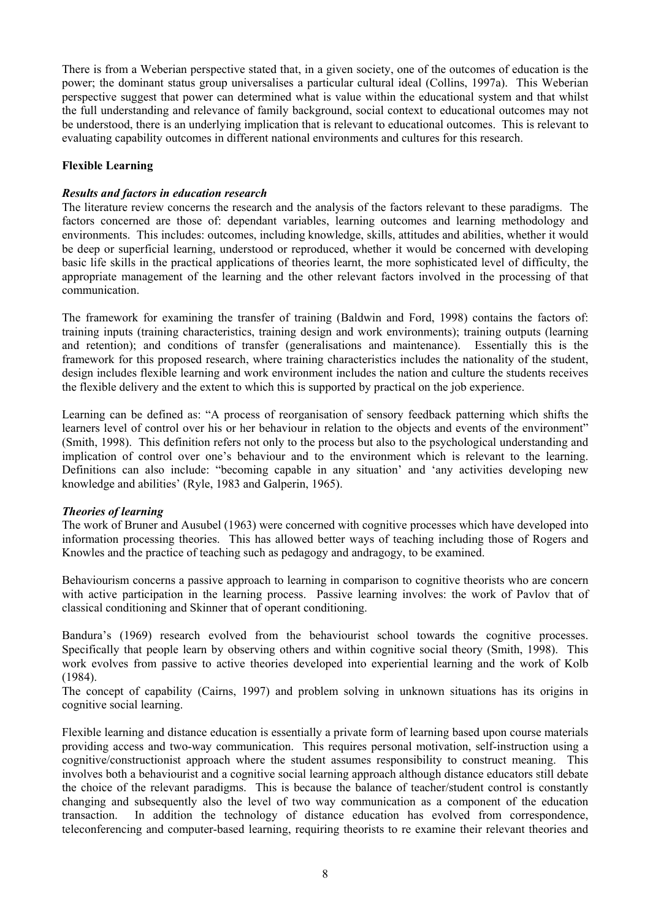There is from a Weberian perspective stated that, in a given society, one of the outcomes of education is the power; the dominant status group universalises a particular cultural ideal (Collins, 1997a). This Weberian perspective suggest that power can determined what is value within the educational system and that whilst the full understanding and relevance of family background, social context to educational outcomes may not be understood, there is an underlying implication that is relevant to educational outcomes. This is relevant to evaluating capability outcomes in different national environments and cultures for this research.

# **Flexible Learning**

### *Results and factors in education research*

The literature review concerns the research and the analysis of the factors relevant to these paradigms. The factors concerned are those of: dependant variables, learning outcomes and learning methodology and environments. This includes: outcomes, including knowledge, skills, attitudes and abilities, whether it would be deep or superficial learning, understood or reproduced, whether it would be concerned with developing basic life skills in the practical applications of theories learnt, the more sophisticated level of difficulty, the appropriate management of the learning and the other relevant factors involved in the processing of that communication.

The framework for examining the transfer of training (Baldwin and Ford, 1998) contains the factors of: training inputs (training characteristics, training design and work environments); training outputs (learning and retention); and conditions of transfer (generalisations and maintenance). Essentially this is the framework for this proposed research, where training characteristics includes the nationality of the student, design includes flexible learning and work environment includes the nation and culture the students receives the flexible delivery and the extent to which this is supported by practical on the job experience.

Learning can be defined as: "A process of reorganisation of sensory feedback patterning which shifts the learners level of control over his or her behaviour in relation to the objects and events of the environment" (Smith, 1998). This definition refers not only to the process but also to the psychological understanding and implication of control over one's behaviour and to the environment which is relevant to the learning. Definitions can also include: "becoming capable in any situation' and 'any activities developing new knowledge and abilities' (Ryle, 1983 and Galperin, 1965).

#### *Theories of learning*

The work of Bruner and Ausubel (1963) were concerned with cognitive processes which have developed into information processing theories. This has allowed better ways of teaching including those of Rogers and Knowles and the practice of teaching such as pedagogy and andragogy, to be examined.

Behaviourism concerns a passive approach to learning in comparison to cognitive theorists who are concern with active participation in the learning process. Passive learning involves: the work of Pavlov that of classical conditioning and Skinner that of operant conditioning.

Bandura's (1969) research evolved from the behaviourist school towards the cognitive processes. Specifically that people learn by observing others and within cognitive social theory (Smith, 1998). This work evolves from passive to active theories developed into experiential learning and the work of Kolb (1984).

The concept of capability (Cairns, 1997) and problem solving in unknown situations has its origins in cognitive social learning.

Flexible learning and distance education is essentially a private form of learning based upon course materials providing access and two-way communication. This requires personal motivation, self-instruction using a cognitive/constructionist approach where the student assumes responsibility to construct meaning. This involves both a behaviourist and a cognitive social learning approach although distance educators still debate the choice of the relevant paradigms. This is because the balance of teacher/student control is constantly changing and subsequently also the level of two way communication as a component of the education transaction. In addition the technology of distance education has evolved from correspondence, teleconferencing and computer-based learning, requiring theorists to re examine their relevant theories and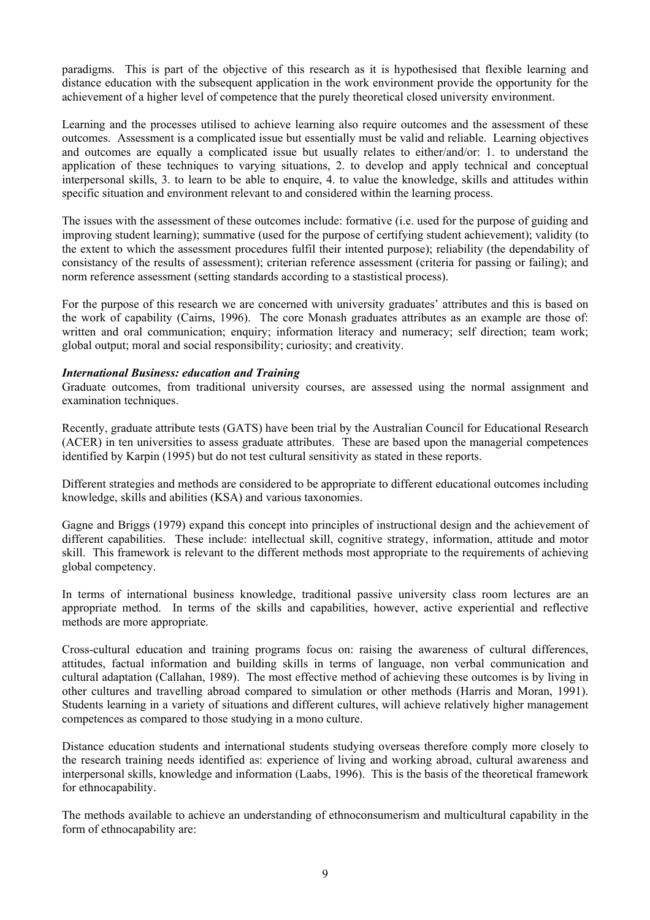paradigms. This is part of the objective of this research as it is hypothesised that flexible learning and distance education with the subsequent application in the work environment provide the opportunity for the achievement of a higher level of competence that the purely theoretical closed university environment.

Learning and the processes utilised to achieve learning also require outcomes and the assessment of these outcomes. Assessment is a complicated issue but essentially must be valid and reliable. Learning objectives and outcomes are equally a complicated issue but usually relates to either/and/or: 1. to understand the application of these techniques to varying situations, 2. to develop and apply technical and conceptual interpersonal skills, 3. to learn to be able to enquire, 4. to value the knowledge, skills and attitudes within specific situation and environment relevant to and considered within the learning process.

The issues with the assessment of these outcomes include: formative (i.e. used for the purpose of guiding and improving student learning); summative (used for the purpose of certifying student achievement); validity (to the extent to which the assessment procedures fulfil their intented purpose); reliability (the dependability of consistancy of the results of assessment); criterian reference assessment (criteria for passing or failing); and norm reference assessment (setting standards according to a stastistical process).

For the purpose of this research we are concerned with university graduates' attributes and this is based on the work of capability (Cairns, 1996). The core Monash graduates attributes as an example are those of: written and oral communication; enquiry; information literacy and numeracy; self direction; team work; global output; moral and social responsibility; curiosity; and creativity.

#### *International Business: education and Training*

Graduate outcomes, from traditional university courses, are assessed using the normal assignment and examination techniques.

Recently, graduate attribute tests (GATS) have been trial by the Australian Council for Educational Research (ACER) in ten universities to assess graduate attributes. These are based upon the managerial competences identified by Karpin (1995) but do not test cultural sensitivity as stated in these reports.

Different strategies and methods are considered to be appropriate to different educational outcomes including knowledge, skills and abilities (KSA) and various taxonomies.

Gagne and Briggs (1979) expand this concept into principles of instructional design and the achievement of different capabilities. These include: intellectual skill, cognitive strategy, information, attitude and motor skill. This framework is relevant to the different methods most appropriate to the requirements of achieving global competency.

In terms of international business knowledge, traditional passive university class room lectures are an appropriate method. In terms of the skills and capabilities, however, active experiential and reflective methods are more appropriate.

Cross-cultural education and training programs focus on: raising the awareness of cultural differences, attitudes, factual information and building skills in terms of language, non verbal communication and cultural adaptation (Callahan, 1989). The most effective method of achieving these outcomes is by living in other cultures and travelling abroad compared to simulation or other methods (Harris and Moran, 1991). Students learning in a variety of situations and different cultures, will achieve relatively higher management competences as compared to those studying in a mono culture.

Distance education students and international students studying overseas therefore comply more closely to the research training needs identified as: experience of living and working abroad, cultural awareness and interpersonal skills, knowledge and information (Laabs, 1996). This is the basis of the theoretical framework for ethnocapability.

The methods available to achieve an understanding of ethnoconsumerism and multicultural capability in the form of ethnocapability are: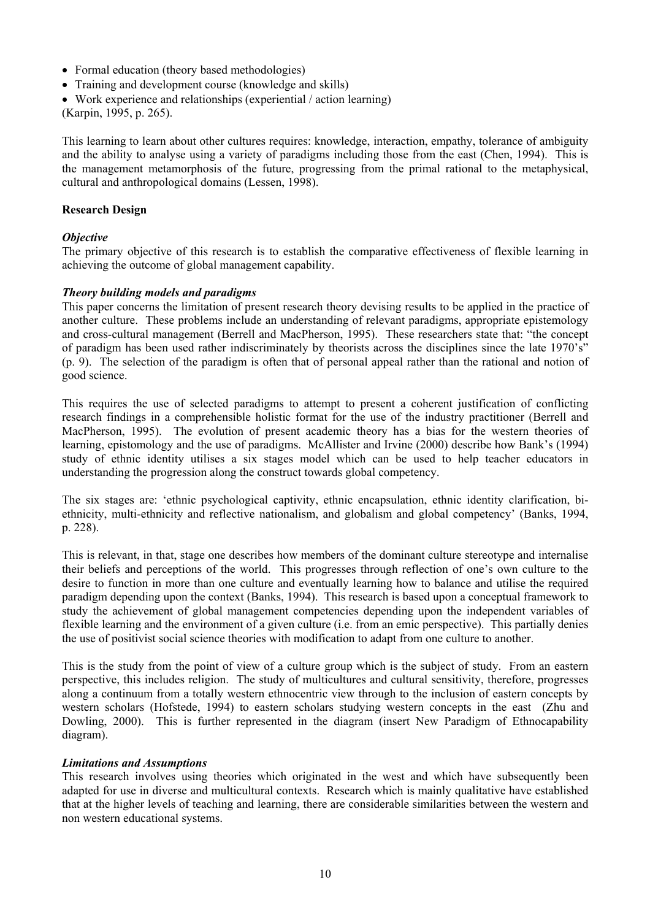- Formal education (theory based methodologies)
- Training and development course (knowledge and skills)
- Work experience and relationships (experiential / action learning)

(Karpin, 1995, p. 265).

This learning to learn about other cultures requires: knowledge, interaction, empathy, tolerance of ambiguity and the ability to analyse using a variety of paradigms including those from the east (Chen, 1994). This is the management metamorphosis of the future, progressing from the primal rational to the metaphysical, cultural and anthropological domains (Lessen, 1998).

### **Research Design**

# *Objective*

The primary objective of this research is to establish the comparative effectiveness of flexible learning in achieving the outcome of global management capability.

#### *Theory building models and paradigms*

This paper concerns the limitation of present research theory devising results to be applied in the practice of another culture. These problems include an understanding of relevant paradigms, appropriate epistemology and cross-cultural management (Berrell and MacPherson, 1995). These researchers state that: "the concept of paradigm has been used rather indiscriminately by theorists across the disciplines since the late 1970's" (p. 9). The selection of the paradigm is often that of personal appeal rather than the rational and notion of good science.

This requires the use of selected paradigms to attempt to present a coherent justification of conflicting research findings in a comprehensible holistic format for the use of the industry practitioner (Berrell and MacPherson, 1995). The evolution of present academic theory has a bias for the western theories of learning, epistomology and the use of paradigms. McAllister and Irvine (2000) describe how Bank's (1994) study of ethnic identity utilises a six stages model which can be used to help teacher educators in understanding the progression along the construct towards global competency.

The six stages are: 'ethnic psychological captivity, ethnic encapsulation, ethnic identity clarification, biethnicity, multi-ethnicity and reflective nationalism, and globalism and global competency' (Banks, 1994, p. 228).

This is relevant, in that, stage one describes how members of the dominant culture stereotype and internalise their beliefs and perceptions of the world. This progresses through reflection of one's own culture to the desire to function in more than one culture and eventually learning how to balance and utilise the required paradigm depending upon the context (Banks, 1994). This research is based upon a conceptual framework to study the achievement of global management competencies depending upon the independent variables of flexible learning and the environment of a given culture (i.e. from an emic perspective). This partially denies the use of positivist social science theories with modification to adapt from one culture to another.

This is the study from the point of view of a culture group which is the subject of study. From an eastern perspective, this includes religion. The study of multicultures and cultural sensitivity, therefore, progresses along a continuum from a totally western ethnocentric view through to the inclusion of eastern concepts by western scholars (Hofstede, 1994) to eastern scholars studying western concepts in the east (Zhu and Dowling, 2000). This is further represented in the diagram (insert New Paradigm of Ethnocapability diagram).

#### *Limitations and Assumptions*

This research involves using theories which originated in the west and which have subsequently been adapted for use in diverse and multicultural contexts. Research which is mainly qualitative have established that at the higher levels of teaching and learning, there are considerable similarities between the western and non western educational systems.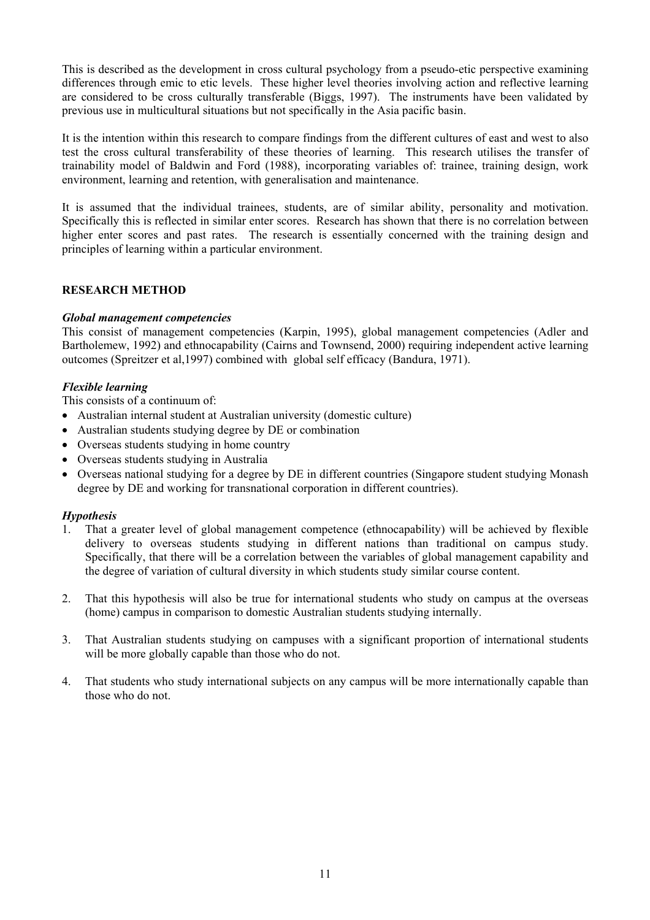This is described as the development in cross cultural psychology from a pseudo-etic perspective examining differences through emic to etic levels. These higher level theories involving action and reflective learning are considered to be cross culturally transferable (Biggs, 1997). The instruments have been validated by previous use in multicultural situations but not specifically in the Asia pacific basin.

It is the intention within this research to compare findings from the different cultures of east and west to also test the cross cultural transferability of these theories of learning. This research utilises the transfer of trainability model of Baldwin and Ford (1988), incorporating variables of: trainee, training design, work environment, learning and retention, with generalisation and maintenance.

It is assumed that the individual trainees, students, are of similar ability, personality and motivation. Specifically this is reflected in similar enter scores. Research has shown that there is no correlation between higher enter scores and past rates. The research is essentially concerned with the training design and principles of learning within a particular environment.

# **RESEARCH METHOD**

# *Global management competencies*

This consist of management competencies (Karpin, 1995), global management competencies (Adler and Bartholemew, 1992) and ethnocapability (Cairns and Townsend, 2000) requiring independent active learning outcomes (Spreitzer et al,1997) combined with global self efficacy (Bandura, 1971).

# *Flexible learning*

This consists of a continuum of:

- Australian internal student at Australian university (domestic culture)
- Australian students studying degree by DE or combination
- Overseas students studying in home country
- Overseas students studying in Australia
- Overseas national studying for a degree by DE in different countries (Singapore student studying Monash degree by DE and working for transnational corporation in different countries).

# *Hypothesis*

- 1. That a greater level of global management competence (ethnocapability) will be achieved by flexible delivery to overseas students studying in different nations than traditional on campus study. Specifically, that there will be a correlation between the variables of global management capability and the degree of variation of cultural diversity in which students study similar course content.
- 2. That this hypothesis will also be true for international students who study on campus at the overseas (home) campus in comparison to domestic Australian students studying internally.
- 3. That Australian students studying on campuses with a significant proportion of international students will be more globally capable than those who do not.
- 4. That students who study international subjects on any campus will be more internationally capable than those who do not.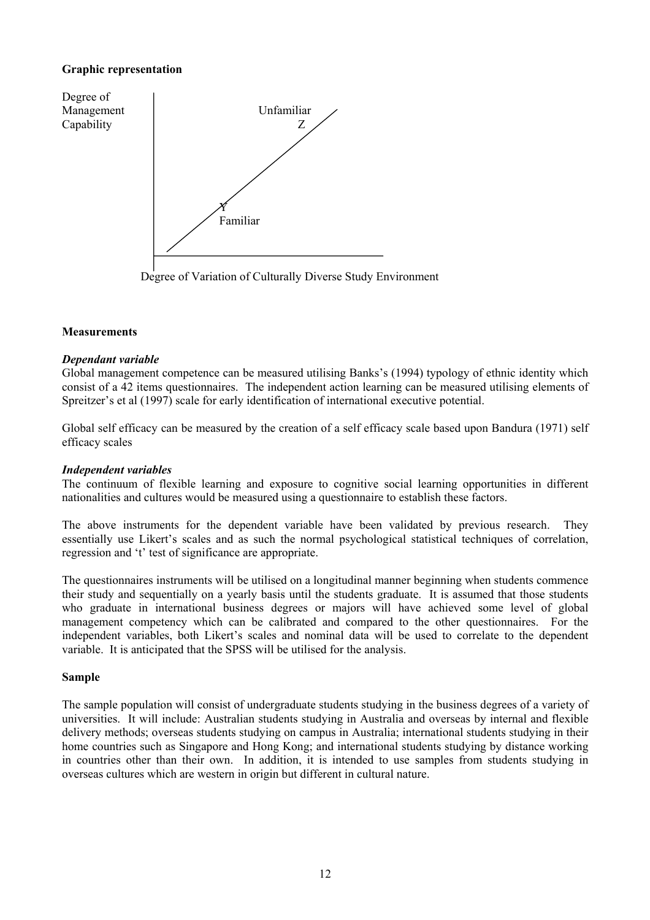# **Graphic representation**



Degree of Variation of Culturally Diverse Study Environment

#### **Measurements**

#### *Dependant variable*

Global management competence can be measured utilising Banks's (1994) typology of ethnic identity which consist of a 42 items questionnaires. The independent action learning can be measured utilising elements of Spreitzer's et al (1997) scale for early identification of international executive potential.

Global self efficacy can be measured by the creation of a self efficacy scale based upon Bandura (1971) self efficacy scales

#### *Independent variables*

The continuum of flexible learning and exposure to cognitive social learning opportunities in different nationalities and cultures would be measured using a questionnaire to establish these factors.

The above instruments for the dependent variable have been validated by previous research. They essentially use Likert's scales and as such the normal psychological statistical techniques of correlation, regression and 't' test of significance are appropriate.

The questionnaires instruments will be utilised on a longitudinal manner beginning when students commence their study and sequentially on a yearly basis until the students graduate. It is assumed that those students who graduate in international business degrees or majors will have achieved some level of global management competency which can be calibrated and compared to the other questionnaires. For the independent variables, both Likert's scales and nominal data will be used to correlate to the dependent variable. It is anticipated that the SPSS will be utilised for the analysis.

#### **Sample**

The sample population will consist of undergraduate students studying in the business degrees of a variety of universities. It will include: Australian students studying in Australia and overseas by internal and flexible delivery methods; overseas students studying on campus in Australia; international students studying in their home countries such as Singapore and Hong Kong; and international students studying by distance working in countries other than their own. In addition, it is intended to use samples from students studying in overseas cultures which are western in origin but different in cultural nature.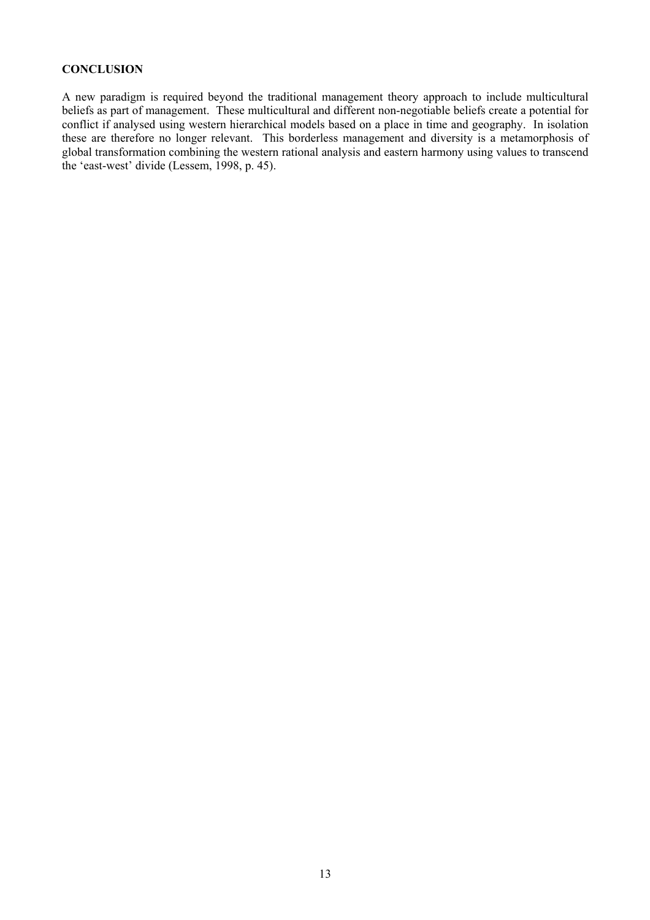# **CONCLUSION**

A new paradigm is required beyond the traditional management theory approach to include multicultural beliefs as part of management. These multicultural and different non-negotiable beliefs create a potential for conflict if analysed using western hierarchical models based on a place in time and geography. In isolation these are therefore no longer relevant. This borderless management and diversity is a metamorphosis of global transformation combining the western rational analysis and eastern harmony using values to transcend the 'east-west' divide (Lessem, 1998, p. 45).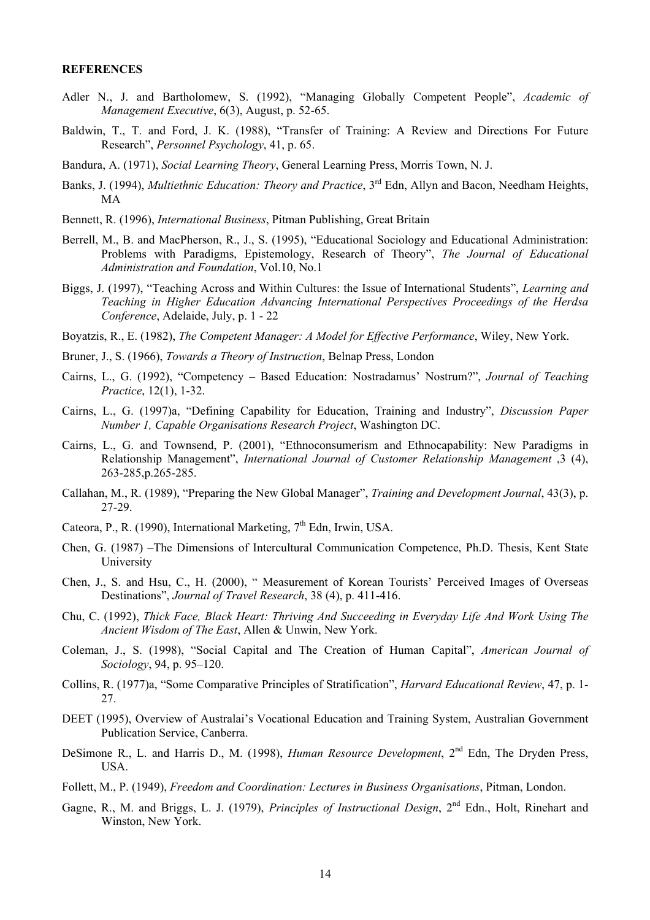#### **REFERENCES**

- Adler N., J. and Bartholomew, S. (1992), "Managing Globally Competent People", *Academic of Management Executive*, 6(3), August, p. 52-65.
- Baldwin, T., T. and Ford, J. K. (1988), "Transfer of Training: A Review and Directions For Future Research", *Personnel Psychology*, 41, p. 65.
- Bandura, A. (1971), *Social Learning Theory*, General Learning Press, Morris Town, N. J.
- Banks, J. (1994), *Multiethnic Education: Theory and Practice*, 3<sup>rd</sup> Edn, Allyn and Bacon, Needham Heights, MA
- Bennett, R. (1996), *International Business*, Pitman Publishing, Great Britain
- Berrell, M., B. and MacPherson, R., J., S. (1995), "Educational Sociology and Educational Administration: Problems with Paradigms, Epistemology, Research of Theory", *The Journal of Educational Administration and Foundation*, Vol.10, No.1
- Biggs, J. (1997), "Teaching Across and Within Cultures: the Issue of International Students", *Learning and Teaching in Higher Education Advancing International Perspectives Proceedings of the Herdsa Conference*, Adelaide, July, p. 1 - 22
- Boyatzis, R., E. (1982), *The Competent Manager: A Model for Effective Performance*, Wiley, New York.
- Bruner, J., S. (1966), *Towards a Theory of Instruction*, Belnap Press, London
- Cairns, L., G. (1992), "Competency Based Education: Nostradamus' Nostrum?", *Journal of Teaching Practice*, 12(1), 1-32.
- Cairns, L., G. (1997)a, "Defining Capability for Education, Training and Industry", *Discussion Paper Number 1, Capable Organisations Research Project*, Washington DC.
- Cairns, L., G. and Townsend, P. (2001), "Ethnoconsumerism and Ethnocapability: New Paradigms in Relationship Management", *International Journal of Customer Relationship Management* ,3 (4), 263-285,p.265-285.
- Callahan, M., R. (1989), "Preparing the New Global Manager", *Training and Development Journal*, 43(3), p. 27-29.
- Cateora, P., R. (1990), International Marketing,  $7<sup>th</sup>$  Edn, Irwin, USA.
- Chen, G. (1987) –The Dimensions of Intercultural Communication Competence, Ph.D. Thesis, Kent State University
- Chen, J., S. and Hsu, C., H. (2000), " Measurement of Korean Tourists' Perceived Images of Overseas Destinations", *Journal of Travel Research*, 38 (4), p. 411-416.
- Chu, C. (1992), *Thick Face, Black Heart: Thriving And Succeeding in Everyday Life And Work Using The Ancient Wisdom of The East*, Allen & Unwin, New York.
- Coleman, J., S. (1998), "Social Capital and The Creation of Human Capital", *American Journal of Sociology*, 94, p. 95–120.
- Collins, R. (1977)a, "Some Comparative Principles of Stratification", *Harvard Educational Review*, 47, p. 1- 27.
- DEET (1995), Overview of Australai's Vocational Education and Training System, Australian Government Publication Service, Canberra.
- DeSimone R., L. and Harris D., M. (1998), *Human Resource Development*, 2<sup>nd</sup> Edn, The Dryden Press, USA.
- Follett, M., P. (1949), *Freedom and Coordination: Lectures in Business Organisations*, Pitman, London.
- Gagne, R., M. and Briggs, L. J. (1979), *Principles of Instructional Design*, 2nd Edn., Holt, Rinehart and Winston, New York.